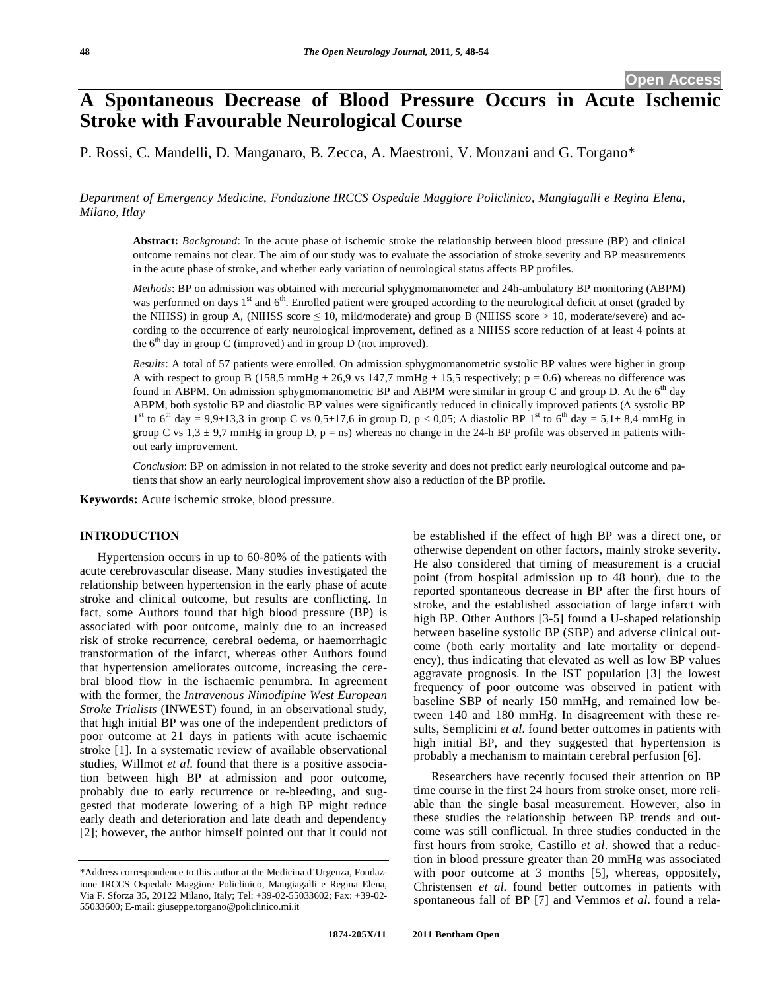# **A Spontaneous Decrease of Blood Pressure Occurs in Acute Ischemic Stroke with Favourable Neurological Course**

P. Rossi, C. Mandelli, D. Manganaro, B. Zecca, A. Maestroni, V. Monzani and G. Torgano\*

*Department of Emergency Medicine, Fondazione IRCCS Ospedale Maggiore Policlinico, Mangiagalli e Regina Elena, Milano, Itlay* 

**Abstract:** *Background*: In the acute phase of ischemic stroke the relationship between blood pressure (BP) and clinical outcome remains not clear. The aim of our study was to evaluate the association of stroke severity and BP measurements in the acute phase of stroke, and whether early variation of neurological status affects BP profiles.

*Methods*: BP on admission was obtained with mercurial sphygmomanometer and 24h-ambulatory BP monitoring (ABPM) was performed on days  $1<sup>st</sup>$  and  $6<sup>th</sup>$ . Enrolled patient were grouped according to the neurological deficit at onset (graded by the NIHSS) in group A, (NIHSS score  $\leq 10$ , mild/moderate) and group B (NIHSS score  $> 10$ , moderate/severe) and according to the occurrence of early neurological improvement, defined as a NIHSS score reduction of at least 4 points at the  $6<sup>th</sup>$  day in group C (improved) and in group D (not improved).

*Results*: A total of 57 patients were enrolled. On admission sphygmomanometric systolic BP values were higher in group A with respect to group B (158,5 mmHg  $\pm$  26,9 vs 147,7 mmHg  $\pm$  15,5 respectively; p = 0.6) whereas no difference was found in ABPM. On admission sphygmomanometric BP and ABPM were similar in group C and group D. At the  $6<sup>th</sup>$  day ABPM, both systolic BP and diastolic BP values were significantly reduced in clinically improved patients  $(\Delta$  systolic BP 1<sup>st</sup> to 6<sup>th</sup> day = 9,9±13,3 in group C vs 0,5±17,6 in group D, p < 0,05;  $\Delta$  diastolic BP 1<sup>st</sup> to 6<sup>th</sup> day = 5,1± 8,4 mmHg in group C vs  $1,3 \pm 9,7$  mmHg in group D, p = ns) whereas no change in the 24-h BP profile was observed in patients without early improvement.

*Conclusion*: BP on admission in not related to the stroke severity and does not predict early neurological outcome and patients that show an early neurological improvement show also a reduction of the BP profile.

**Keywords:** Acute ischemic stroke, blood pressure.

# **INTRODUCTION**

Hypertension occurs in up to 60-80% of the patients with acute cerebrovascular disease. Many studies investigated the relationship between hypertension in the early phase of acute stroke and clinical outcome, but results are conflicting. In fact, some Authors found that high blood pressure (BP) is associated with poor outcome, mainly due to an increased risk of stroke recurrence, cerebral oedema, or haemorrhagic transformation of the infarct, whereas other Authors found that hypertension ameliorates outcome, increasing the cerebral blood flow in the ischaemic penumbra. In agreement with the former, the *Intravenous Nimodipine West European Stroke Trialists* (INWEST) found, in an observational study, that high initial BP was one of the independent predictors of poor outcome at 21 days in patients with acute ischaemic stroke [1]. In a systematic review of available observational studies, Willmot *et al*. found that there is a positive association between high BP at admission and poor outcome, probably due to early recurrence or re-bleeding, and suggested that moderate lowering of a high BP might reduce early death and deterioration and late death and dependency [2]; however, the author himself pointed out that it could not

be established if the effect of high BP was a direct one, or otherwise dependent on other factors, mainly stroke severity. He also considered that timing of measurement is a crucial point (from hospital admission up to 48 hour), due to the reported spontaneous decrease in BP after the first hours of stroke, and the established association of large infarct with high BP. Other Authors [3-5] found a U-shaped relationship between baseline systolic BP (SBP) and adverse clinical outcome (both early mortality and late mortality or dependency), thus indicating that elevated as well as low BP values aggravate prognosis. In the IST population [3] the lowest frequency of poor outcome was observed in patient with baseline SBP of nearly 150 mmHg, and remained low between 140 and 180 mmHg. In disagreement with these results, Semplicini *et al*. found better outcomes in patients with high initial BP, and they suggested that hypertension is probably a mechanism to maintain cerebral perfusion [6].

Researchers have recently focused their attention on BP time course in the first 24 hours from stroke onset, more reliable than the single basal measurement. However, also in these studies the relationship between BP trends and outcome was still conflictual. In three studies conducted in the first hours from stroke, Castillo *et al*. showed that a reduction in blood pressure greater than 20 mmHg was associated with poor outcome at 3 months [5], whereas, oppositely, Christensen *et al*. found better outcomes in patients with spontaneous fall of BP [7] and Vemmos *et al*. found a rela-

<sup>\*</sup>Address correspondence to this author at the Medicina d'Urgenza, Fondazione IRCCS Ospedale Maggiore Policlinico, Mangiagalli e Regina Elena, Via F. Sforza 35, 20122 Milano, Italy; Tel: +39-02-55033602; Fax: +39-02- 55033600; E-mail: giuseppe.torgano@policlinico.mi.it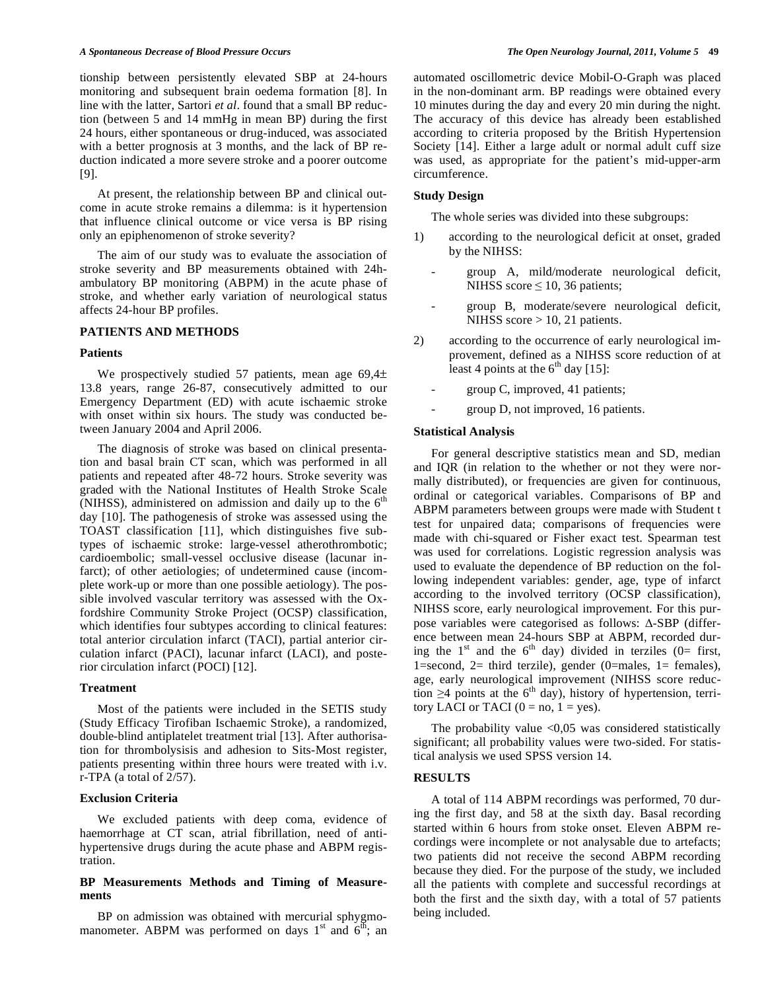tionship between persistently elevated SBP at 24-hours monitoring and subsequent brain oedema formation [8]. In line with the latter, Sartori *et al*. found that a small BP reduction (between 5 and 14 mmHg in mean BP) during the first 24 hours, either spontaneous or drug-induced, was associated with a better prognosis at 3 months, and the lack of BP reduction indicated a more severe stroke and a poorer outcome [9].

At present, the relationship between BP and clinical outcome in acute stroke remains a dilemma: is it hypertension that influence clinical outcome or vice versa is BP rising only an epiphenomenon of stroke severity?

The aim of our study was to evaluate the association of stroke severity and BP measurements obtained with 24hambulatory BP monitoring (ABPM) in the acute phase of stroke, and whether early variation of neurological status affects 24-hour BP profiles.

### **PATIENTS AND METHODS**

#### **Patients**

We prospectively studied 57 patients, mean age 69,4± 13.8 years, range 26-87, consecutively admitted to our Emergency Department (ED) with acute ischaemic stroke with onset within six hours. The study was conducted between January 2004 and April 2006.

The diagnosis of stroke was based on clinical presentation and basal brain CT scan, which was performed in all patients and repeated after 48-72 hours. Stroke severity was graded with the National Institutes of Health Stroke Scale (NIHSS), administered on admission and daily up to the  $6<sup>th</sup>$ day [10]. The pathogenesis of stroke was assessed using the TOAST classification [11], which distinguishes five subtypes of ischaemic stroke: large-vessel atherothrombotic; cardioembolic; small-vessel occlusive disease (lacunar infarct); of other aetiologies; of undetermined cause (incomplete work-up or more than one possible aetiology). The possible involved vascular territory was assessed with the Oxfordshire Community Stroke Project (OCSP) classification, which identifies four subtypes according to clinical features: total anterior circulation infarct (TACI), partial anterior circulation infarct (PACI), lacunar infarct (LACI), and posterior circulation infarct (POCI) [12].

### **Treatment**

Most of the patients were included in the SETIS study (Study Efficacy Tirofiban Ischaemic Stroke), a randomized, double-blind antiplatelet treatment trial [13]. After authorisation for thrombolysisis and adhesion to Sits-Most register, patients presenting within three hours were treated with i.v. r-TPA (a total of 2/57).

### **Exclusion Criteria**

We excluded patients with deep coma, evidence of haemorrhage at CT scan, atrial fibrillation, need of antihypertensive drugs during the acute phase and ABPM registration.

# **BP Measurements Methods and Timing of Measurements**

BP on admission was obtained with mercurial sphygmomanometer. ABPM was performed on days  $1<sup>st</sup>$  and  $6<sup>th</sup>$ ; an automated oscillometric device Mobil-O-Graph was placed in the non-dominant arm. BP readings were obtained every 10 minutes during the day and every 20 min during the night. The accuracy of this device has already been established according to criteria proposed by the British Hypertension Society [14]. Either a large adult or normal adult cuff size was used, as appropriate for the patient's mid-upper-arm circumference.

## **Study Design**

The whole series was divided into these subgroups:

- 1) according to the neurological deficit at onset, graded by the NIHSS:
	- group A, mild/moderate neurological deficit, NIHSS score  $\leq 10$ , 36 patients;
	- group B, moderate/severe neurological deficit, NIHSS score > 10, 21 patients.
- 2) according to the occurrence of early neurological improvement, defined as a NIHSS score reduction of at least 4 points at the  $6<sup>th</sup>$  day [15]:
	- group C, improved, 41 patients;
	- group D, not improved, 16 patients.

# **Statistical Analysis**

For general descriptive statistics mean and SD, median and IQR (in relation to the whether or not they were normally distributed), or frequencies are given for continuous, ordinal or categorical variables. Comparisons of BP and ABPM parameters between groups were made with Student t test for unpaired data; comparisons of frequencies were made with chi-squared or Fisher exact test. Spearman test was used for correlations. Logistic regression analysis was used to evaluate the dependence of BP reduction on the following independent variables: gender, age, type of infarct according to the involved territory (OCSP classification), NIHSS score, early neurological improvement. For this purpose variables were categorised as follows:  $\triangle$ -SBP (difference between mean 24-hours SBP at ABPM, recorded during the  $1<sup>st</sup>$  and the  $6<sup>th</sup>$  day) divided in terziles (0= first, 1=second, 2= third terzile), gender (0=males, 1= females), age, early neurological improvement (NIHSS score reduction  $\geq$ 4 points at the 6<sup>th</sup> day), history of hypertension, territory LACI or TACI  $(0 = no, 1 = yes)$ .

The probability value  $< 0.05$  was considered statistically significant; all probability values were two-sided. For statistical analysis we used SPSS version 14.

# **RESULTS**

A total of 114 ABPM recordings was performed, 70 during the first day, and 58 at the sixth day. Basal recording started within 6 hours from stoke onset. Eleven ABPM recordings were incomplete or not analysable due to artefacts; two patients did not receive the second ABPM recording because they died. For the purpose of the study, we included all the patients with complete and successful recordings at both the first and the sixth day, with a total of 57 patients being included.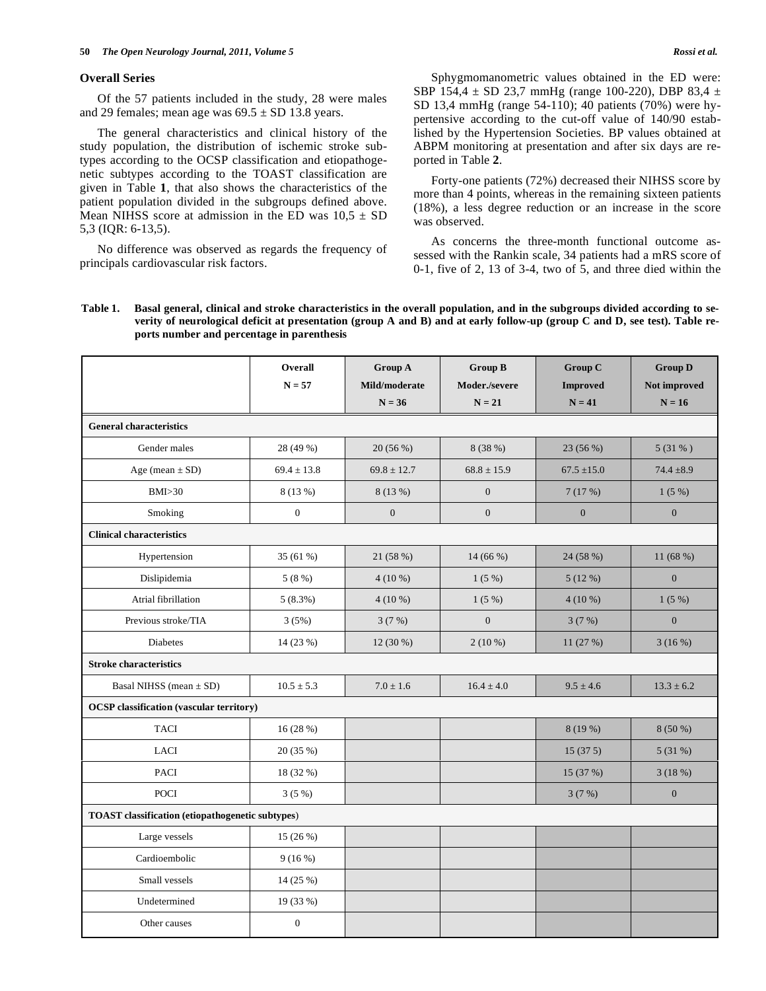#### **Overall Series**

Of the 57 patients included in the study, 28 were males and 29 females; mean age was  $69.5 \pm SD$  13.8 years.

The general characteristics and clinical history of the study population, the distribution of ischemic stroke subtypes according to the OCSP classification and etiopathogenetic subtypes according to the TOAST classification are given in Table **1**, that also shows the characteristics of the patient population divided in the subgroups defined above. Mean NIHSS score at admission in the ED was  $10.5 \pm SD$ 5,3 (IQR: 6-13,5).

No difference was observed as regards the frequency of principals cardiovascular risk factors.

Sphygmomanometric values obtained in the ED were: SBP 154,4  $\pm$  SD 23,7 mmHg (range 100-220), DBP 83,4  $\pm$ SD 13,4 mmHg (range 54-110); 40 patients (70%) were hypertensive according to the cut-off value of 140/90 established by the Hypertension Societies. BP values obtained at ABPM monitoring at presentation and after six days are reported in Table **2**.

Forty-one patients (72%) decreased their NIHSS score by more than 4 points, whereas in the remaining sixteen patients (18%), a less degree reduction or an increase in the score was observed.

As concerns the three-month functional outcome assessed with the Rankin scale, 34 patients had a mRS score of 0-1, five of 2, 13 of 3-4, two of 5, and three died within the

# **Table 1. Basal general, clinical and stroke characteristics in the overall population, and in the subgroups divided according to severity of neurological deficit at presentation (group A and B) and at early follow-up (group C and D, see test). Table reports number and percentage in parenthesis**

|                                                         | Overall<br>$N = 57$ | Group A<br>Mild/moderate<br>$N = 36$ | <b>Group B</b><br>Moder./severe<br>$N = 21$ | <b>Group C</b><br><b>Improved</b><br>$N = 41$ | <b>Group D</b><br>Not improved<br>$N = 16$ |  |
|---------------------------------------------------------|---------------------|--------------------------------------|---------------------------------------------|-----------------------------------------------|--------------------------------------------|--|
| <b>General characteristics</b>                          |                     |                                      |                                             |                                               |                                            |  |
| Gender males                                            | 28 (49 %)           | 20 (56 %)                            | 8 (38 %)                                    | 23 (56 %)                                     | 5(31% )                                    |  |
| Age (mean $\pm$ SD)                                     | $69.4 \pm 13.8$     | $69.8 \pm 12.7$                      | $68.8 \pm 15.9$                             | $67.5 \pm 15.0$                               | $74.4 \pm 8.9$                             |  |
| BMI > 30                                                | 8 (13 %)            | 8(13%)                               | $\boldsymbol{0}$                            | 7(17%)                                        | 1(5%)                                      |  |
| Smoking                                                 | $\boldsymbol{0}$    | $\boldsymbol{0}$                     | $\boldsymbol{0}$                            | $\mathbf{0}$                                  | $\boldsymbol{0}$                           |  |
| <b>Clinical characteristics</b>                         |                     |                                      |                                             |                                               |                                            |  |
| Hypertension                                            | 35 (61 %)           | 21 (58 %)                            | 14 (66 %)                                   | 24 (58 %)                                     | 11 (68 %)                                  |  |
| Dislipidemia                                            | 5(8%)               | $4(10\%)$                            | 1(5%)                                       | 5(12%)                                        | $\boldsymbol{0}$                           |  |
| Atrial fibrillation                                     | 5(8.3%)             | $4(10\%)$                            | 1(5%)                                       | $4(10\%)$                                     | 1(5%)                                      |  |
| Previous stroke/TIA                                     | 3(5%)               | 3(7%)                                | $\boldsymbol{0}$                            | 3(7%)                                         | $\boldsymbol{0}$                           |  |
| <b>Diabetes</b>                                         | 14 (23 %)           | 12 (30 %)                            | $2(10\%)$                                   | 11 (27 %)                                     | 3(16%)                                     |  |
| <b>Stroke characteristics</b>                           |                     |                                      |                                             |                                               |                                            |  |
| Basal NIHSS (mean $\pm$ SD)                             | $10.5 \pm 5.3$      | $7.0 \pm 1.6$                        | $16.4 \pm 4.0$                              | $9.5 \pm 4.6$                                 | $13.3 \pm 6.2$                             |  |
| <b>OCSP</b> classification (vascular territory)         |                     |                                      |                                             |                                               |                                            |  |
| <b>TACI</b>                                             | 16(28%)             |                                      |                                             | 8(19%)                                        | $8(50\%)$                                  |  |
| <b>LACI</b>                                             | 20 (35 %)           |                                      |                                             | 15(375)                                       | 5(31%)                                     |  |
| <b>PACI</b>                                             | 18 (32 %)           |                                      |                                             | 15 (37 %)                                     | 3(18%)                                     |  |
| <b>POCI</b>                                             | $3(5\%)$            |                                      |                                             | 3(7%)                                         | $\mathbf{0}$                               |  |
| <b>TOAST</b> classification (etiopathogenetic subtypes) |                     |                                      |                                             |                                               |                                            |  |
| Large vessels                                           | 15 (26 %)           |                                      |                                             |                                               |                                            |  |
| Cardioembolic                                           | 9(16%)              |                                      |                                             |                                               |                                            |  |
| Small vessels                                           | 14 (25 %)           |                                      |                                             |                                               |                                            |  |
| Undetermined                                            | 19 (33 %)           |                                      |                                             |                                               |                                            |  |
| Other causes                                            | $\boldsymbol{0}$    |                                      |                                             |                                               |                                            |  |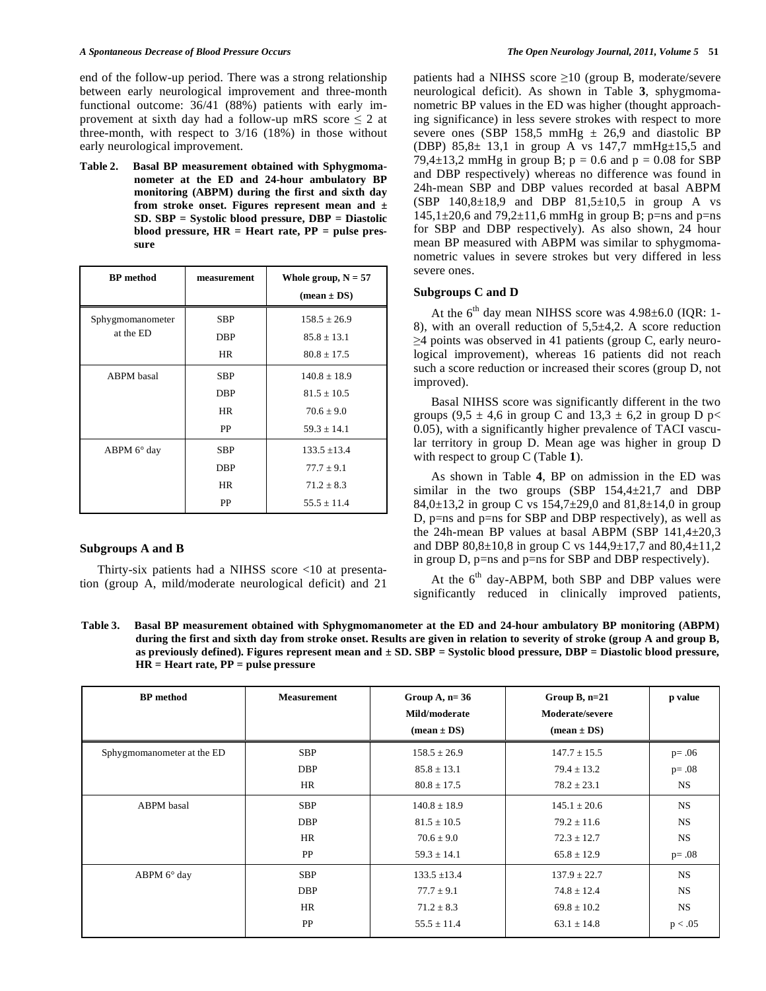end of the follow-up period. There was a strong relationship between early neurological improvement and three-month functional outcome: 36/41 (88%) patients with early improvement at sixth day had a follow-up mRS score  $\leq 2$  at three-month, with respect to 3/16 (18%) in those without early neurological improvement.

**Table 2. Basal BP measurement obtained with Sphygmomanometer at the ED and 24-hour ambulatory BP monitoring (ABPM) during the first and sixth day from stroke onset. Figures represent mean and ± SD. SBP = Systolic blood pressure, DBP = Diastolic blood pressure, HR = Heart rate, PP = pulse pressure** 

| <b>BP</b> method              | measurement | Whole group, $N = 57$<br>$(\text{mean} \pm \text{DS})$ |
|-------------------------------|-------------|--------------------------------------------------------|
| Sphygmomanometer<br>at the ED | <b>SBP</b>  | $158.5 + 26.9$                                         |
|                               | DBP         | $85.8 \pm 13.1$                                        |
|                               | <b>HR</b>   | $80.8 \pm 17.5$                                        |
| ABPM basal                    | <b>SBP</b>  | $140.8 \pm 18.9$                                       |
|                               | <b>DBP</b>  | $81.5 \pm 10.5$                                        |
|                               | <b>HR</b>   | $70.6 + 9.0$                                           |
|                               | PP          | $59.3 \pm 14.1$                                        |
| $ABPM 6^\circ$ day            | <b>SBP</b>  | $133.5 \pm 13.4$                                       |
|                               | <b>DBP</b>  | $77.7 \pm 9.1$                                         |
|                               | <b>HR</b>   | $71.2 \pm 8.3$                                         |
|                               | PP          | $55.5 + 11.4$                                          |

### **Subgroups A and B**

Thirty-six patients had a NIHSS score <10 at presentation (group A, mild/moderate neurological deficit) and 21

patients had a NIHSS score  $\geq$ 10 (group B, moderate/severe neurological deficit). As shown in Table **3**, sphygmomanometric BP values in the ED was higher (thought approaching significance) in less severe strokes with respect to more severe ones (SBP 158,5 mmHg  $\pm$  26,9 and diastolic BP (DBP) 85,8 $\pm$  13,1 in group A vs 147,7 mmHg $\pm$ 15,5 and 79,4 $\pm$ 13,2 mmHg in group B; p = 0.6 and p = 0.08 for SBP and DBP respectively) whereas no difference was found in 24h-mean SBP and DBP values recorded at basal ABPM (SBP  $140,8\pm18,9$  and DBP  $81,5\pm10,5$  in group A vs  $145,1\pm20,6$  and  $79,2\pm11,6$  mmHg in group B; p=ns and p=ns for SBP and DBP respectively). As also shown, 24 hour mean BP measured with ABPM was similar to sphygmomanometric values in severe strokes but very differed in less severe ones.

## **Subgroups C and D**

At the  $6<sup>th</sup>$  day mean NIHSS score was 4.98 $\pm$ 6.0 (IQR: 1-8), with an overall reduction of  $5.5\pm4.2$ . A score reduction  $\geq$ 4 points was observed in 41 patients (group C, early neurological improvement), whereas 16 patients did not reach such a score reduction or increased their scores (group D, not improved).

Basal NIHSS score was significantly different in the two groups (9,5  $\pm$  4,6 in group C and 13,3  $\pm$  6,2 in group D p< 0.05), with a significantly higher prevalence of TACI vascular territory in group D. Mean age was higher in group D with respect to group C (Table **1**).

As shown in Table **4**, BP on admission in the ED was similar in the two groups (SBP 154,4±21,7 and DBP 84,0 $\pm$ 13,2 in group C vs 154,7 $\pm$ 29,0 and 81,8 $\pm$ 14,0 in group D, p=ns and p=ns for SBP and DBP respectively), as well as the 24h-mean BP values at basal ABPM (SBP  $141.4 \pm 20.3$ ) and DBP 80,8 $\pm$ 10,8 in group C vs 144,9 $\pm$ 17,7 and 80,4 $\pm$ 11,2 in group D,  $p=ns$  and  $p=ns$  for SBP and DBP respectively).

At the  $6<sup>th</sup>$  day-ABPM, both SBP and DBP values were significantly reduced in clinically improved patients,

**Table 3. Basal BP measurement obtained with Sphygmomanometer at the ED and 24-hour ambulatory BP monitoring (ABPM) during the first and sixth day from stroke onset. Results are given in relation to severity of stroke (group A and group B, as previously defined). Figures represent mean and ± SD. SBP = Systolic blood pressure, DBP = Diastolic blood pressure, HR = Heart rate, PP = pulse pressure** 

| <b>BP</b> method           | <b>Measurement</b> | Group A, $n=36$<br>Mild/moderate<br>$(\text{mean} \pm \text{DS})$ | Group B, n=21<br>Moderate/severe<br>$(\text{mean} \pm \text{DS})$ | p value   |
|----------------------------|--------------------|-------------------------------------------------------------------|-------------------------------------------------------------------|-----------|
| Sphygmomanometer at the ED | <b>SBP</b>         | $158.5 \pm 26.9$                                                  | $147.7 \pm 15.5$                                                  | $p = .06$ |
|                            | <b>DBP</b>         | $85.8 \pm 13.1$                                                   | $79.4 \pm 13.2$                                                   | $p = .08$ |
|                            | HR                 | $80.8 \pm 17.5$                                                   | $78.2 \pm 23.1$                                                   | <b>NS</b> |
| ABPM basal                 | <b>SBP</b>         | $140.8 \pm 18.9$                                                  | $145.1 \pm 20.6$                                                  | <b>NS</b> |
|                            | <b>DBP</b>         | $81.5 \pm 10.5$                                                   | $79.2 \pm 11.6$                                                   | <b>NS</b> |
|                            | <b>HR</b>          | $70.6 \pm 9.0$                                                    | $72.3 \pm 12.7$                                                   | <b>NS</b> |
|                            | <b>PP</b>          | $59.3 \pm 14.1$                                                   | $65.8 \pm 12.9$                                                   | $p = .08$ |
| ABPM 6° day                | <b>SBP</b>         | $133.5 \pm 13.4$                                                  | $137.9 \pm 22.7$                                                  | <b>NS</b> |
|                            | <b>DBP</b>         | $77.7 \pm 9.1$                                                    | $74.8 \pm 12.4$                                                   | <b>NS</b> |
|                            | <b>HR</b>          | $71.2 \pm 8.3$                                                    | $69.8 \pm 10.2$                                                   | <b>NS</b> |
|                            | PP                 | $55.5 \pm 11.4$                                                   | $63.1 \pm 14.8$                                                   | p < .05   |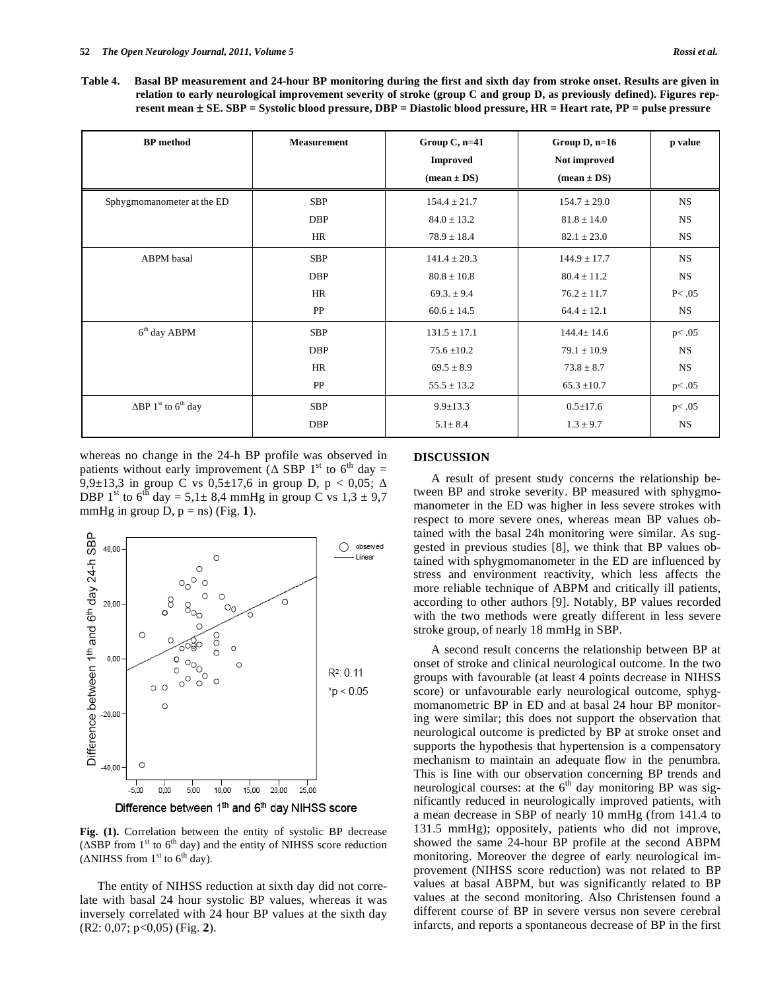**Table 4. Basal BP measurement and 24-hour BP monitoring during the first and sixth day from stroke onset. Results are given in relation to early neurological improvement severity of stroke (group C and group D, as previously defined). Figures represent mean** ± **SE. SBP = Systolic blood pressure, DBP = Diastolic blood pressure, HR = Heart rate, PP = pulse pressure** 

| <b>BP</b> method                                   | <b>Measurement</b> | Group $C$ , n=41<br><b>Improved</b><br>$(\text{mean} \pm \text{DS})$ | Group $D$ , n=16<br>Not improved<br>$(\text{mean} \pm \text{DS})$ | p value   |
|----------------------------------------------------|--------------------|----------------------------------------------------------------------|-------------------------------------------------------------------|-----------|
| Sphygmomanometer at the ED                         | <b>SBP</b>         | $154.4 \pm 21.7$                                                     | $154.7 \pm 29.0$                                                  | <b>NS</b> |
|                                                    | <b>DBP</b>         | $84.0 \pm 13.2$                                                      | $81.8 \pm 14.0$                                                   | <b>NS</b> |
|                                                    | HR                 | $78.9 \pm 18.4$                                                      | $82.1 \pm 23.0$                                                   | NS        |
| ABPM basal                                         | <b>SBP</b>         | $141.4 \pm 20.3$                                                     | $144.9 \pm 17.7$                                                  | <b>NS</b> |
|                                                    | <b>DBP</b>         | $80.8 \pm 10.8$                                                      | $80.4 \pm 11.2$                                                   | <b>NS</b> |
|                                                    | HR                 | $69.3 \pm 9.4$                                                       | $76.2 \pm 11.7$                                                   | P<.05     |
|                                                    | PP                 | $60.6 \pm 14.5$                                                      | $64.4 \pm 12.1$                                                   | NS        |
| $6th$ day ABPM                                     | SBP                | $131.5 \pm 17.1$                                                     | $144.4 \pm 14.6$                                                  | p<.05     |
|                                                    | <b>DBP</b>         | $75.6 \pm 10.2$                                                      | $79.1 \pm 10.9$                                                   | <b>NS</b> |
|                                                    | HR                 | $69.5 \pm 8.9$                                                       | $73.8 \pm 8.7$                                                    | <b>NS</b> |
|                                                    | PP                 | $55.5 \pm 13.2$                                                      | $65.3 \pm 10.7$                                                   | p<.05     |
| $\Delta BP$ 1 <sup>st</sup> to 6 <sup>th</sup> day | <b>SBP</b>         | $9.9 \pm 13.3$                                                       | $0.5 \pm 17.6$                                                    | p<.05     |
|                                                    | <b>DBP</b>         | $5.1 \pm 8.4$                                                        | $1.3 \pm 9.7$                                                     | <b>NS</b> |

whereas no change in the 24-h BP profile was observed in patients without early improvement ( $\triangle$  SBP 1<sup>st</sup> to 6<sup>th</sup> day = 9,9 $\pm$ 13,3 in group C vs 0,5 $\pm$ 17,6 in group D, p < 0,05;  $\Delta$ DBP 1<sup>st</sup> to 6<sup>th</sup> day = 5,1 $\pm$  8,4 mmHg in group C vs 1,3  $\pm$  9,7 mmHg in group  $D$ ,  $p =$ ns) (Fig. 1).



**Fig. (1).** Correlation between the entity of systolic BP decrease ( $\triangle$ SBP from 1<sup>st</sup> to 6<sup>th</sup> day) and the entity of NIHSS score reduction ( $\triangle$ NIHSS from 1<sup>st</sup> to 6<sup>th</sup> day).

The entity of NIHSS reduction at sixth day did not correlate with basal 24 hour systolic BP values, whereas it was inversely correlated with 24 hour BP values at the sixth day (R2: 0,07; p<0,05) (Fig. **2**).

# **DISCUSSION**

A result of present study concerns the relationship between BP and stroke severity. BP measured with sphygmomanometer in the ED was higher in less severe strokes with respect to more severe ones, whereas mean BP values obtained with the basal 24h monitoring were similar. As suggested in previous studies [8], we think that BP values obtained with sphygmomanometer in the ED are influenced by stress and environment reactivity, which less affects the more reliable technique of ABPM and critically ill patients, according to other authors [9]. Notably, BP values recorded with the two methods were greatly different in less severe stroke group, of nearly 18 mmHg in SBP.

A second result concerns the relationship between BP at onset of stroke and clinical neurological outcome. In the two groups with favourable (at least 4 points decrease in NIHSS score) or unfavourable early neurological outcome, sphygmomanometric BP in ED and at basal 24 hour BP monitoring were similar; this does not support the observation that neurological outcome is predicted by BP at stroke onset and supports the hypothesis that hypertension is a compensatory mechanism to maintain an adequate flow in the penumbra. This is line with our observation concerning BP trends and neurological courses: at the  $6<sup>th</sup>$  day monitoring BP was significantly reduced in neurologically improved patients, with a mean decrease in SBP of nearly 10 mmHg (from 141.4 to 131.5 mmHg); oppositely, patients who did not improve, showed the same 24-hour BP profile at the second ABPM monitoring. Moreover the degree of early neurological improvement (NIHSS score reduction) was not related to BP values at basal ABPM, but was significantly related to BP values at the second monitoring. Also Christensen found a different course of BP in severe versus non severe cerebral infarcts, and reports a spontaneous decrease of BP in the first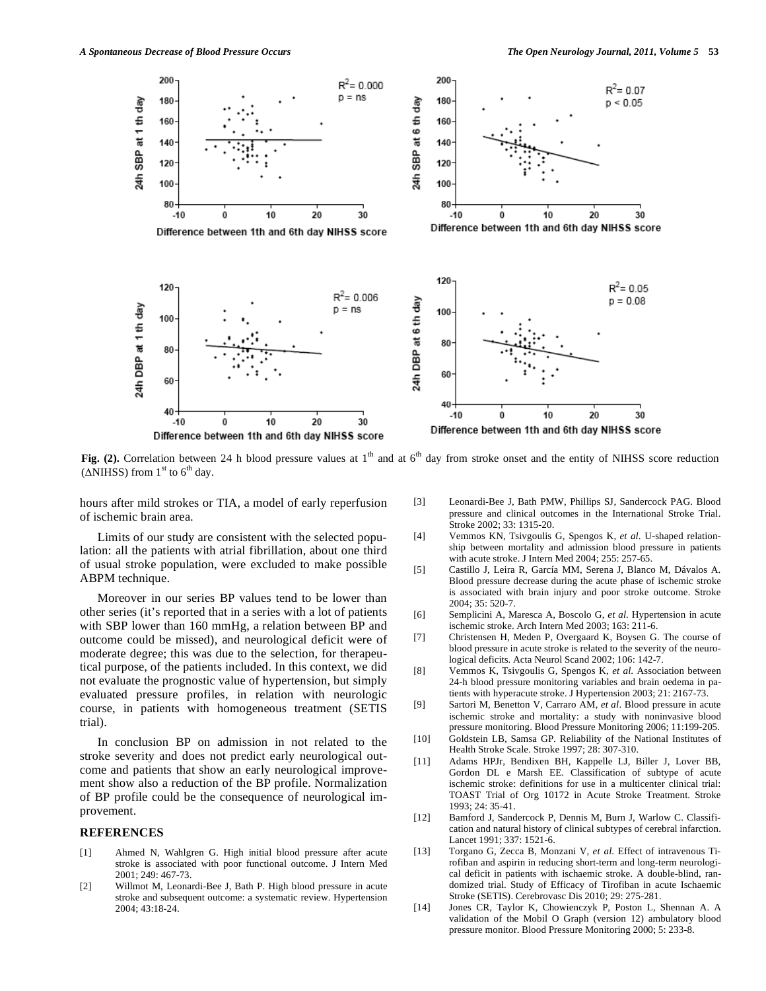

**Fig.** (2). Correlation between 24 h blood pressure values at  $1<sup>th</sup>$  and at  $6<sup>th</sup>$  day from stroke onset and the entity of NIHSS score reduction ( $\triangle$ NIHSS) from 1<sup>st</sup> to 6<sup>th</sup> day.

hours after mild strokes or TIA, a model of early reperfusion of ischemic brain area.

Limits of our study are consistent with the selected population: all the patients with atrial fibrillation, about one third of usual stroke population, were excluded to make possible ABPM technique.

Moreover in our series BP values tend to be lower than other series (it's reported that in a series with a lot of patients with SBP lower than 160 mmHg, a relation between BP and outcome could be missed), and neurological deficit were of moderate degree; this was due to the selection, for therapeutical purpose, of the patients included. In this context, we did not evaluate the prognostic value of hypertension, but simply evaluated pressure profiles, in relation with neurologic course, in patients with homogeneous treatment (SETIS trial).

In conclusion BP on admission in not related to the stroke severity and does not predict early neurological outcome and patients that show an early neurological improvement show also a reduction of the BP profile. Normalization of BP profile could be the consequence of neurological improvement.

# **REFERENCES**

- [1] Ahmed N, Wahlgren G. High initial blood pressure after acute stroke is associated with poor functional outcome. J Intern Med 2001; 249: 467-73.
- [2] Willmot M, Leonardi-Bee J, Bath P. High blood pressure in acute stroke and subsequent outcome: a systematic review. Hypertension 2004; 43:18-24.
- [3] Leonardi-Bee J, Bath PMW, Phillips SJ, Sandercock PAG. Blood pressure and clinical outcomes in the International Stroke Trial. Stroke 2002; 33: 1315-20.
- [4] Vemmos KN, Tsivgoulis G, Spengos K, *et al*. U-shaped relationship between mortality and admission blood pressure in patients with acute stroke. J Intern Med 2004; 255: 257-65.
- [5] Castillo J, Leira R, García MM, Serena J, Blanco M, Dávalos A. Blood pressure decrease during the acute phase of ischemic stroke is associated with brain injury and poor stroke outcome. Stroke 2004; 35: 520-7.
- [6] Semplicini A, Maresca A, Boscolo G, *et al*. Hypertension in acute ischemic stroke. Arch Intern Med 2003; 163: 211-6.
- [7] Christensen H, Meden P, Overgaard K, Boysen G. The course of blood pressure in acute stroke is related to the severity of the neurological deficits. Acta Neurol Scand 2002; 106: 142-7.
- [8] Vemmos K, Tsivgoulis G, Spengos K, *et al*. Association between 24-h blood pressure monitoring variables and brain oedema in patients with hyperacute stroke. J Hypertension 2003; 21: 2167-73.
- [9] Sartori M, Benetton V, Carraro AM, *et al*. Blood pressure in acute ischemic stroke and mortality: a study with noninvasive blood pressure monitoring. Blood Pressure Monitoring 2006; 11:199-205.
- [10] Goldstein LB, Samsa GP. Reliability of the National Institutes of Health Stroke Scale. Stroke 1997; 28: 307-310.
- [11] Adams HPJr, Bendixen BH, Kappelle LJ, Biller J, Lover BB, Gordon DL e Marsh EE. Classification of subtype of acute ischemic stroke: definitions for use in a multicenter clinical trial: TOAST Trial of Org 10172 in Acute Stroke Treatment. Stroke 1993; 24: 35-41.
- [12] Bamford J, Sandercock P, Dennis M, Burn J, Warlow C. Classification and natural history of clinical subtypes of cerebral infarction. Lancet 1991; 337: 1521-6.
- [13] Torgano G, Zecca B, Monzani V, *et al*. Effect of intravenous Tirofiban and aspirin in reducing short-term and long-term neurological deficit in patients with ischaemic stroke. A double-blind, randomized trial. Study of Efficacy of Tirofiban in acute Ischaemic Stroke (SETIS). Cerebrovasc Dis 2010; 29: 275-281.
- [14] Jones CR, Taylor K, Chowienczyk P, Poston L, Shennan A. A validation of the Mobil O Graph (version 12) ambulatory blood pressure monitor. Blood Pressure Monitoring 2000; 5: 233-8.